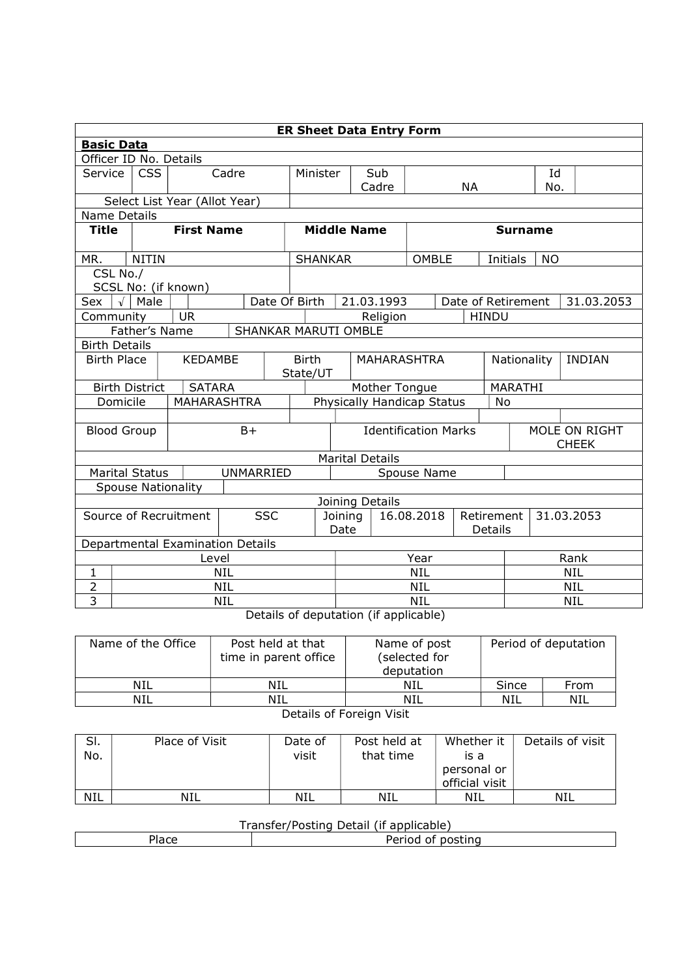| <b>ER Sheet Data Entry Form</b> |                                              |                               |                                  |          |                                         |                        |            |              |                              |                    |                               |            |  |
|---------------------------------|----------------------------------------------|-------------------------------|----------------------------------|----------|-----------------------------------------|------------------------|------------|--------------|------------------------------|--------------------|-------------------------------|------------|--|
|                                 | <b>Basic Data</b>                            |                               |                                  |          |                                         |                        |            |              |                              |                    |                               |            |  |
|                                 | Officer ID No. Details                       |                               |                                  |          |                                         |                        |            |              |                              |                    |                               |            |  |
| Service                         | <b>CSS</b>                                   |                               | Cadre                            | Minister |                                         |                        | Sub        |              |                              |                    | Id                            |            |  |
|                                 |                                              |                               |                                  |          |                                         |                        | Cadre      |              | <b>NA</b>                    |                    | No.                           |            |  |
|                                 |                                              | Select List Year (Allot Year) |                                  |          |                                         |                        |            |              |                              |                    |                               |            |  |
| <b>Name Details</b>             |                                              |                               |                                  |          |                                         |                        |            |              |                              |                    |                               |            |  |
| <b>Title</b>                    |                                              | <b>First Name</b>             |                                  |          |                                         | <b>Middle Name</b>     |            |              |                              | <b>Surname</b>     |                               |            |  |
| MR.                             | <b>NITIN</b>                                 |                               |                                  |          | <b>SHANKAR</b>                          |                        |            | <b>OMBLE</b> |                              | Initials           | <b>NO</b>                     |            |  |
| CSL No./                        |                                              |                               |                                  |          |                                         |                        |            |              |                              |                    |                               |            |  |
|                                 | SCSL No: (if known)                          |                               |                                  |          |                                         |                        |            |              |                              |                    |                               |            |  |
| Sex                             | $\sqrt{\phantom{a}}$ Male                    |                               | Date Of Birth                    |          |                                         |                        | 21.03.1993 |              |                              | Date of Retirement |                               | 31.03.2053 |  |
| Community                       |                                              | <b>UR</b>                     |                                  |          |                                         |                        | Religion   |              |                              | <b>HINDU</b>       |                               |            |  |
|                                 | Father's Name                                |                               | SHANKAR MARUTI OMBLE             |          |                                         |                        |            |              |                              |                    |                               |            |  |
| <b>Birth Details</b>            |                                              |                               |                                  |          |                                         |                        |            |              |                              |                    |                               |            |  |
|                                 | <b>KEDAMBE</b><br><b>Birth Place</b>         |                               |                                  |          | <b>Birth</b><br>MAHARASHTRA<br>State/UT |                        |            |              | Nationality<br><b>INDIAN</b> |                    |                               |            |  |
|                                 | <b>Birth District</b>                        | <b>SATARA</b>                 |                                  |          | Mother Tongue                           |                        |            |              |                              |                    | MARATHI                       |            |  |
|                                 | Domicile                                     | <b>MAHARASHTRA</b>            |                                  |          | Physically Handicap Status              |                        |            |              |                              | No                 |                               |            |  |
|                                 |                                              |                               |                                  |          |                                         |                        |            |              |                              |                    |                               |            |  |
|                                 | <b>Blood Group</b>                           |                               | $B+$                             |          | <b>Identification Marks</b>             |                        |            |              |                              |                    | MOLE ON RIGHT<br><b>CHEEK</b> |            |  |
|                                 |                                              |                               |                                  |          |                                         | <b>Marital Details</b> |            |              |                              |                    |                               |            |  |
|                                 | <b>Marital Status</b>                        |                               | <b>UNMARRIED</b>                 |          |                                         |                        |            | Spouse Name  |                              |                    |                               |            |  |
|                                 | <b>Spouse Nationality</b>                    |                               |                                  |          |                                         |                        |            |              |                              |                    |                               |            |  |
|                                 |                                              |                               |                                  |          |                                         | Joining Details        |            |              |                              |                    |                               |            |  |
|                                 | Source of Recruitment                        |                               | <b>SSC</b>                       |          | Joining                                 |                        |            | 16.08.2018   |                              | Retirement         |                               | 31.03.2053 |  |
|                                 |                                              |                               |                                  |          | Date                                    |                        |            |              |                              | Details            |                               |            |  |
|                                 |                                              |                               | Departmental Examination Details |          |                                         |                        |            |              |                              |                    |                               |            |  |
|                                 | Level                                        |                               |                                  |          |                                         | Year                   |            |              |                              |                    | Rank                          |            |  |
| 1                               |                                              |                               | <b>NIL</b>                       |          |                                         | <b>NIL</b>             |            |              |                              |                    | <b>NIL</b>                    |            |  |
| $\overline{2}$                  |                                              |                               | <b>NIL</b>                       |          |                                         | <b>NIL</b>             |            |              |                              |                    | <b>NIL</b>                    |            |  |
| 3                               | <b>NIL</b><br><b>NIL</b><br>NIL<br>$\cdot$ . |                               |                                  |          |                                         |                        |            |              |                              |                    |                               |            |  |

Details of deputation (if applicable)

| Name of the Office | Post held at that<br>time in parent office | Name of post<br>(selected for<br>deputation |       | Period of deputation |  |  |  |  |  |
|--------------------|--------------------------------------------|---------------------------------------------|-------|----------------------|--|--|--|--|--|
| NIL                | NIL                                        | NIL                                         | Since | From                 |  |  |  |  |  |
| NIL                | <b>NIL</b>                                 | NIL                                         | NIL   | NIL                  |  |  |  |  |  |
|                    |                                            |                                             |       |                      |  |  |  |  |  |

Details of Foreign Visit

| SI.<br>No. | Place of Visit | Date of<br>visit | Post held at<br>that time | Whether it<br>is a<br>personal or<br>official visit | Details of visit |
|------------|----------------|------------------|---------------------------|-----------------------------------------------------|------------------|
| <b>NIL</b> | <b>NIL</b>     | <b>NIL</b>       | NIL                       | NIL                                                 | NIL              |

## Transfer/Posting Detail (if applicable)

| $1 - 2$<br>1dCE | .<br>nostina<br>$^{\prime}$<br>enou |  |  |  |  |  |  |  |  |
|-----------------|-------------------------------------|--|--|--|--|--|--|--|--|
|                 |                                     |  |  |  |  |  |  |  |  |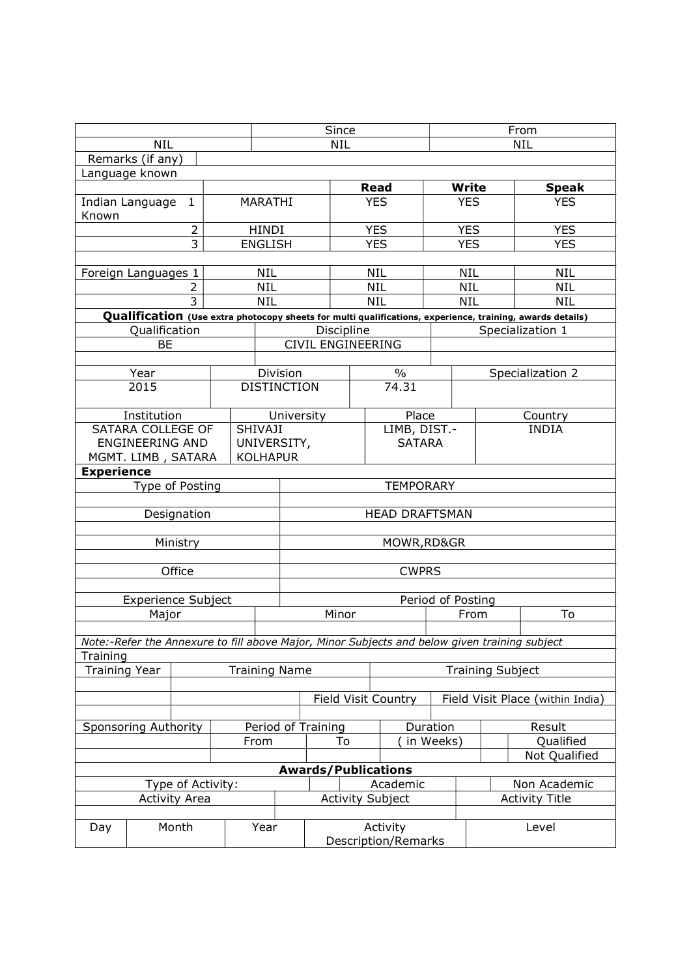|                                                                                                           |                      | Since                     |            |                                 |              | From                                     |                                  |  |  |
|-----------------------------------------------------------------------------------------------------------|----------------------|---------------------------|------------|---------------------------------|--------------|------------------------------------------|----------------------------------|--|--|
| <b>NIL</b>                                                                                                |                      | <b>NIL</b>                |            |                                 |              | <b>NIL</b>                               |                                  |  |  |
| Remarks (if any)                                                                                          |                      |                           |            |                                 |              |                                          |                                  |  |  |
| Language known                                                                                            |                      |                           |            |                                 |              |                                          | <b>Speak</b>                     |  |  |
| Indian Language<br>1                                                                                      | MARATHI              | <b>Read</b><br><b>YES</b> |            |                                 |              | <b>Write</b><br><b>YES</b><br><b>YES</b> |                                  |  |  |
| Known                                                                                                     |                      |                           |            |                                 |              |                                          |                                  |  |  |
| $\overline{2}$                                                                                            | <b>HINDI</b>         |                           | <b>YES</b> |                                 |              | <b>YES</b>                               | <b>YES</b>                       |  |  |
| 3                                                                                                         | <b>ENGLISH</b>       |                           | <b>YES</b> |                                 |              | <b>YES</b>                               | <b>YES</b>                       |  |  |
|                                                                                                           |                      |                           |            |                                 |              |                                          |                                  |  |  |
| Foreign Languages 1                                                                                       | <b>NIL</b>           |                           | <b>NIL</b> |                                 |              | <b>NIL</b>                               | <b>NIL</b>                       |  |  |
| 2                                                                                                         | <b>NIL</b>           |                           | <b>NIL</b> |                                 |              | <b>NIL</b>                               | <b>NIL</b>                       |  |  |
| $\overline{3}$                                                                                            | <b>NIL</b>           |                           | <b>NIL</b> |                                 |              | <b>NIL</b>                               | <b>NIL</b>                       |  |  |
| Qualification (Use extra photocopy sheets for multi qualifications, experience, training, awards details) |                      |                           |            |                                 |              |                                          |                                  |  |  |
| Qualification                                                                                             |                      | Discipline                |            |                                 |              |                                          | Specialization 1                 |  |  |
| <b>BE</b>                                                                                                 |                      | CIVIL ENGINEERING         |            |                                 |              |                                          |                                  |  |  |
| Year                                                                                                      | Division             |                           |            | $\frac{0}{0}$                   |              |                                          |                                  |  |  |
| 2015                                                                                                      | <b>DISTINCTION</b>   |                           |            | 74.31                           |              |                                          | Specialization 2                 |  |  |
|                                                                                                           |                      |                           |            |                                 |              |                                          |                                  |  |  |
| Institution                                                                                               | University           |                           |            | Place                           |              |                                          | Country                          |  |  |
| SATARA COLLEGE OF                                                                                         | <b>SHIVAJI</b>       |                           |            |                                 | LIMB, DIST.- |                                          | <b>INDIA</b>                     |  |  |
| <b>ENGINEERING AND</b>                                                                                    | UNIVERSITY,          |                           |            | <b>SATARA</b>                   |              |                                          |                                  |  |  |
| MGMT. LIMB, SATARA                                                                                        | <b>KOLHAPUR</b>      |                           |            |                                 |              |                                          |                                  |  |  |
| <b>Experience</b>                                                                                         |                      |                           |            |                                 |              |                                          |                                  |  |  |
| Type of Posting                                                                                           |                      | <b>TEMPORARY</b>          |            |                                 |              |                                          |                                  |  |  |
| Designation                                                                                               |                      |                           |            | <b>HEAD DRAFTSMAN</b>           |              |                                          |                                  |  |  |
|                                                                                                           |                      |                           |            |                                 |              |                                          |                                  |  |  |
| Ministry                                                                                                  |                      |                           |            | MOWR, RD&GR                     |              |                                          |                                  |  |  |
|                                                                                                           |                      |                           |            |                                 |              |                                          |                                  |  |  |
| Office                                                                                                    |                      | <b>CWPRS</b>              |            |                                 |              |                                          |                                  |  |  |
|                                                                                                           |                      |                           |            |                                 |              |                                          |                                  |  |  |
| <b>Experience Subject</b>                                                                                 |                      | Period of Posting         |            |                                 |              |                                          |                                  |  |  |
| Major                                                                                                     |                      | Minor                     |            |                                 | From         |                                          | To                               |  |  |
|                                                                                                           |                      |                           |            |                                 |              |                                          |                                  |  |  |
| Note:-Refer the Annexure to fill above Major, Minor Subjects and below given training subject             |                      |                           |            |                                 |              |                                          |                                  |  |  |
| Training<br><b>Training Year</b>                                                                          | <b>Training Name</b> |                           |            |                                 |              |                                          |                                  |  |  |
|                                                                                                           |                      |                           |            |                                 |              | <b>Training Subject</b>                  |                                  |  |  |
|                                                                                                           |                      |                           |            | <b>Field Visit Country</b>      |              |                                          | Field Visit Place (within India) |  |  |
|                                                                                                           |                      |                           |            |                                 |              |                                          |                                  |  |  |
| <b>Sponsoring Authority</b>                                                                               | Period of Training   |                           |            |                                 | Duration     |                                          | Result                           |  |  |
|                                                                                                           | From                 | To                        |            |                                 | in Weeks)    | Qualified                                |                                  |  |  |
|                                                                                                           |                      |                           |            |                                 |              |                                          | Not Qualified                    |  |  |
| <b>Awards/Publications</b>                                                                                |                      |                           |            |                                 |              |                                          |                                  |  |  |
| Type of Activity:                                                                                         |                      | Academic                  |            |                                 |              | Non Academic                             |                                  |  |  |
| <b>Activity Area</b>                                                                                      |                      |                           |            | <b>Activity Subject</b>         |              | <b>Activity Title</b>                    |                                  |  |  |
|                                                                                                           |                      |                           |            |                                 |              |                                          |                                  |  |  |
| Month<br>Day                                                                                              | Year                 |                           |            | Activity<br>Description/Remarks |              |                                          | Level                            |  |  |